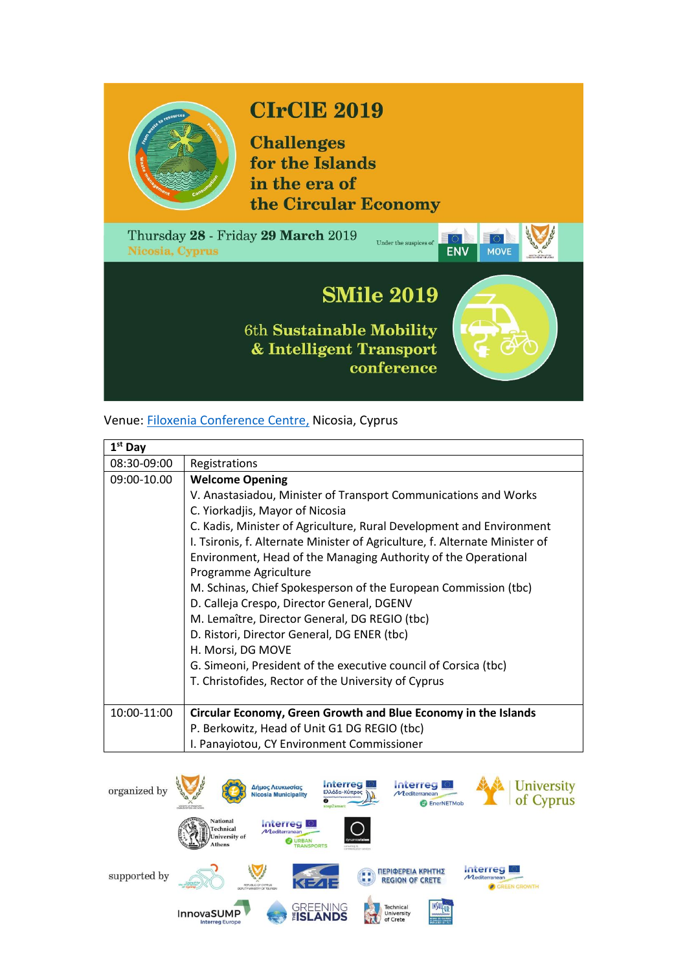

## **CIrClE 2019**

**Challenges** for the Islands in the era of the Circular Economy



## Venue: [Filoxenia Conference Centre,](http://www.fcc.com.cy/) Nicosia, Cyprus

| $1st$ Day   |                                                                             |
|-------------|-----------------------------------------------------------------------------|
| 08:30-09:00 | Registrations                                                               |
| 09:00-10.00 | <b>Welcome Opening</b>                                                      |
|             | V. Anastasiadou, Minister of Transport Communications and Works             |
|             | C. Yiorkadjis, Mayor of Nicosia                                             |
|             | C. Kadis, Minister of Agriculture, Rural Development and Environment        |
|             | I. Tsironis, f. Alternate Minister of Agriculture, f. Alternate Minister of |
|             | Environment, Head of the Managing Authority of the Operational              |
|             | Programme Agriculture                                                       |
|             | M. Schinas, Chief Spokesperson of the European Commission (tbc)             |
|             | D. Calleja Crespo, Director General, DGENV                                  |
|             | M. Lemaître, Director General, DG REGIO (tbc)                               |
|             | D. Ristori, Director General, DG ENER (tbc)                                 |
|             | H. Morsi, DG MOVE                                                           |
|             | G. Simeoni, President of the executive council of Corsica (tbc)             |
|             | T. Christofides, Rector of the University of Cyprus                         |
|             |                                                                             |
| 10:00-11:00 | Circular Economy, Green Growth and Blue Economy in the Islands              |
|             | P. Berkowitz, Head of Unit G1 DG REGIO (tbc)                                |
|             | I. Panayiotou, CY Environment Commissioner                                  |

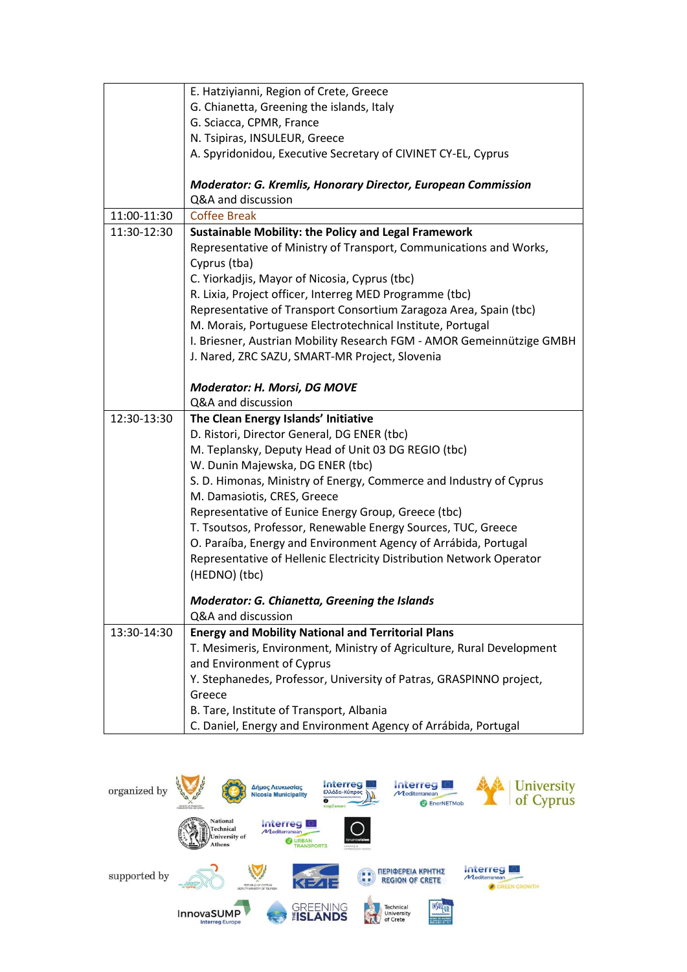|             | E. Hatziyianni, Region of Crete, Greece                               |
|-------------|-----------------------------------------------------------------------|
|             | G. Chianetta, Greening the islands, Italy                             |
|             | G. Sciacca, CPMR, France                                              |
|             | N. Tsipiras, INSULEUR, Greece                                         |
|             | A. Spyridonidou, Executive Secretary of CIVINET CY-EL, Cyprus         |
|             |                                                                       |
|             | <b>Moderator: G. Kremlis, Honorary Director, European Commission</b>  |
|             | Q&A and discussion                                                    |
| 11:00-11:30 | <b>Coffee Break</b>                                                   |
| 11:30-12:30 | <b>Sustainable Mobility: the Policy and Legal Framework</b>           |
|             | Representative of Ministry of Transport, Communications and Works,    |
|             | Cyprus (tba)                                                          |
|             | C. Yiorkadjis, Mayor of Nicosia, Cyprus (tbc)                         |
|             | R. Lixia, Project officer, Interreg MED Programme (tbc)               |
|             | Representative of Transport Consortium Zaragoza Area, Spain (tbc)     |
|             | M. Morais, Portuguese Electrotechnical Institute, Portugal            |
|             | I. Briesner, Austrian Mobility Research FGM - AMOR Gemeinnützige GMBH |
|             | J. Nared, ZRC SAZU, SMART-MR Project, Slovenia                        |
|             |                                                                       |
|             | <b>Moderator: H. Morsi, DG MOVE</b>                                   |
|             | Q&A and discussion                                                    |
| 12:30-13:30 | The Clean Energy Islands' Initiative                                  |
|             | D. Ristori, Director General, DG ENER (tbc)                           |
|             | M. Teplansky, Deputy Head of Unit 03 DG REGIO (tbc)                   |
|             | W. Dunin Majewska, DG ENER (tbc)                                      |
|             | S. D. Himonas, Ministry of Energy, Commerce and Industry of Cyprus    |
|             | M. Damasiotis, CRES, Greece                                           |
|             | Representative of Eunice Energy Group, Greece (tbc)                   |
|             | T. Tsoutsos, Professor, Renewable Energy Sources, TUC, Greece         |
|             | O. Paraíba, Energy and Environment Agency of Arrábida, Portugal       |
|             | Representative of Hellenic Electricity Distribution Network Operator  |
|             | (HEDNO) (tbc)                                                         |
|             | Moderator: G. Chianetta, Greening the Islands                         |
|             | Q&A and discussion                                                    |
|             |                                                                       |
| 13:30-14:30 | <b>Energy and Mobility National and Territorial Plans</b>             |
|             | T. Mesimeris, Environment, Ministry of Agriculture, Rural Development |
|             | and Environment of Cyprus                                             |
|             | Y. Stephanedes, Professor, University of Patras, GRASPINNO project,   |
|             | Greece                                                                |
|             | B. Tare, Institute of Transport, Albania                              |
|             | C. Daniel, Energy and Environment Agency of Arrábida, Portugal        |

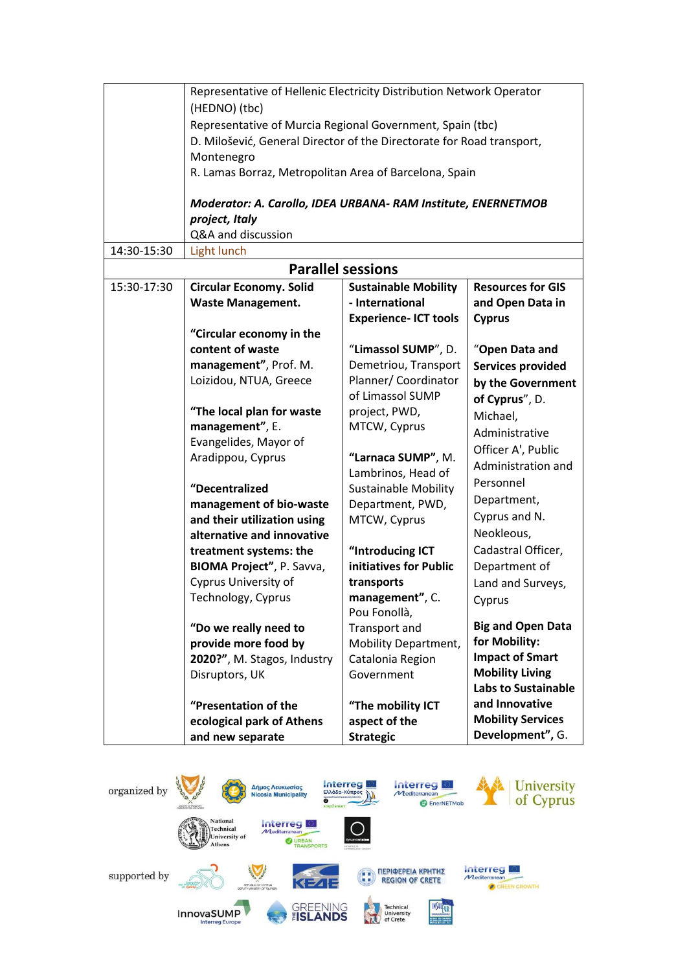|             | Representative of Hellenic Electricity Distribution Network Operator            |                              |                            |
|-------------|---------------------------------------------------------------------------------|------------------------------|----------------------------|
|             | (HEDNO) (tbc)                                                                   |                              |                            |
|             | Representative of Murcia Regional Government, Spain (tbc)                       |                              |                            |
|             | D. Milošević, General Director of the Directorate for Road transport,           |                              |                            |
|             | Montenegro                                                                      |                              |                            |
|             | R. Lamas Borraz, Metropolitan Area of Barcelona, Spain                          |                              |                            |
|             |                                                                                 |                              |                            |
|             |                                                                                 |                              |                            |
|             | Moderator: A. Carollo, IDEA URBANA- RAM Institute, ENERNETMOB<br>project, Italy |                              |                            |
|             | Q&A and discussion                                                              |                              |                            |
| 14:30-15:30 | Light lunch                                                                     |                              |                            |
|             |                                                                                 | <b>Parallel sessions</b>     |                            |
| 15:30-17:30 | <b>Circular Economy. Solid</b>                                                  | <b>Sustainable Mobility</b>  | <b>Resources for GIS</b>   |
|             | <b>Waste Management.</b>                                                        | - International              | and Open Data in           |
|             |                                                                                 | <b>Experience- ICT tools</b> | <b>Cyprus</b>              |
|             | "Circular economy in the                                                        |                              |                            |
|             | content of waste                                                                | "Limassol SUMP", D.          | "Open Data and             |
|             | management", Prof. M.                                                           | Demetriou, Transport         | <b>Services provided</b>   |
|             | Loizidou, NTUA, Greece                                                          | Planner/ Coordinator         |                            |
|             |                                                                                 | of Limassol SUMP             | by the Government          |
|             | "The local plan for waste                                                       | project, PWD,                | of Cyprus", D.             |
|             | management", E.                                                                 | MTCW, Cyprus                 | Michael,                   |
|             | Evangelides, Mayor of                                                           |                              | Administrative             |
|             | Aradippou, Cyprus                                                               | "Larnaca SUMP", M.           | Officer A', Public         |
|             |                                                                                 | Lambrinos, Head of           | Administration and         |
|             | "Decentralized                                                                  | <b>Sustainable Mobility</b>  | Personnel                  |
|             | management of bio-waste                                                         | Department, PWD,             | Department,                |
|             | and their utilization using                                                     | MTCW, Cyprus                 | Cyprus and N.              |
|             | alternative and innovative                                                      |                              | Neokleous,                 |
|             | treatment systems: the                                                          | "Introducing ICT             | Cadastral Officer,         |
|             | BIOMA Project", P. Savva,                                                       | initiatives for Public       | Department of              |
|             | Cyprus University of                                                            | transports                   | Land and Surveys,          |
|             | Technology, Cyprus                                                              | management", C.              | Cyprus                     |
|             |                                                                                 | Pou Fonollà,                 |                            |
|             | "Do we really need to                                                           | Transport and                | <b>Big and Open Data</b>   |
|             | provide more food by                                                            | <b>Mobility Department,</b>  | for Mobility:              |
|             | 2020?", M. Stagos, Industry                                                     | Catalonia Region             | <b>Impact of Smart</b>     |
|             | Disruptors, UK                                                                  | Government                   | <b>Mobility Living</b>     |
|             |                                                                                 |                              | <b>Labs to Sustainable</b> |
|             | "Presentation of the                                                            | "The mobility ICT            | and Innovative             |
|             | ecological park of Athens                                                       | aspect of the                | <b>Mobility Services</b>   |
|             | and new separate                                                                | <b>Strategic</b>             | Development", G.           |

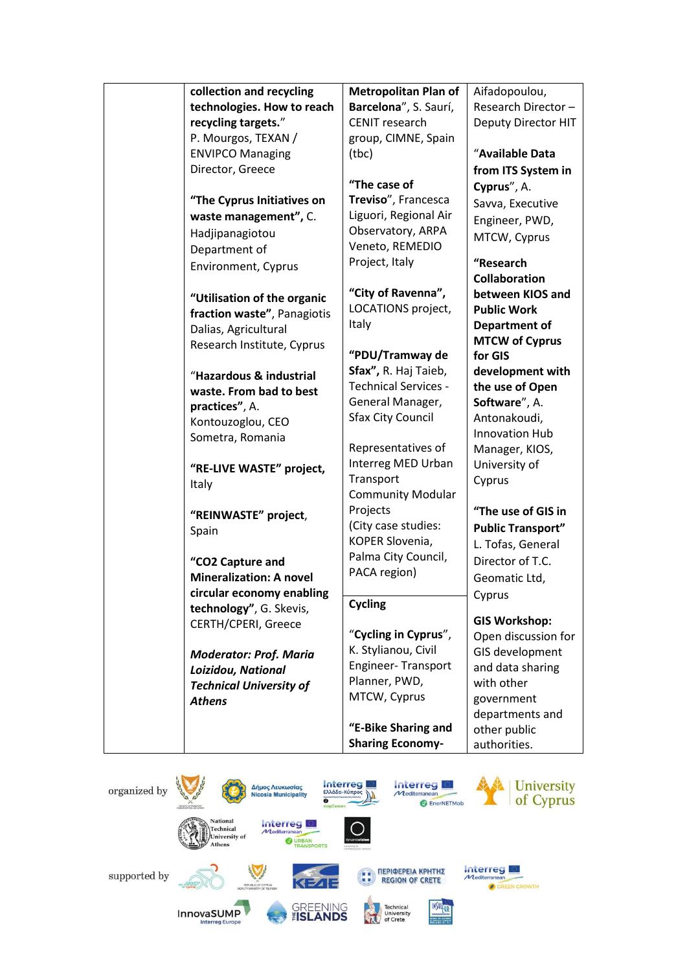|                                                     | <b>Metropolitan Plan of</b> |                          |
|-----------------------------------------------------|-----------------------------|--------------------------|
| collection and recycling                            |                             | Aifadopoulou,            |
| technologies. How to reach                          | Barcelona", S. Saurí,       | Research Director-       |
| recycling targets."                                 | <b>CENIT research</b>       | Deputy Director HIT      |
| P. Mourgos, TEXAN /                                 | group, CIMNE, Spain         |                          |
| <b>ENVIPCO Managing</b>                             | (tbc)                       | "Available Data          |
| Director, Greece                                    |                             | from ITS System in       |
|                                                     | "The case of                | Cyprus", A.              |
| "The Cyprus Initiatives on                          | Treviso", Francesca         | Savva, Executive         |
| waste management", C.                               | Liguori, Regional Air       | Engineer, PWD,           |
| Hadjipanagiotou                                     | Observatory, ARPA           | MTCW, Cyprus             |
| Department of                                       | Veneto, REMEDIO             |                          |
| Environment, Cyprus                                 | Project, Italy              | "Research                |
|                                                     |                             | <b>Collaboration</b>     |
| "Utilisation of the organic                         | "City of Ravenna",          | between KIOS and         |
| fraction waste", Panagiotis                         | LOCATIONS project,          | <b>Public Work</b>       |
| Dalias, Agricultural                                | Italy                       | <b>Department of</b>     |
| Research Institute, Cyprus                          |                             | <b>MTCW of Cyprus</b>    |
|                                                     | "PDU/Tramway de             | for GIS                  |
| "Hazardous & industrial                             | Sfax", R. Haj Taieb,        | development with         |
| waste. From bad to best                             | Technical Services -        | the use of Open          |
| practices", A.                                      | General Manager,            | Software", A.            |
| Kontouzoglou, CEO                                   | <b>Sfax City Council</b>    | Antonakoudi,             |
| Sometra, Romania                                    |                             | Innovation Hub           |
|                                                     | Representatives of          | Manager, KIOS,           |
| "RE-LIVE WASTE" project,                            | Interreg MED Urban          | University of            |
| Italy                                               | Transport                   | Cyprus                   |
|                                                     | <b>Community Modular</b>    |                          |
| "REINWASTE" project,                                | Projects                    | "The use of GIS in       |
| Spain                                               | (City case studies:         | <b>Public Transport"</b> |
|                                                     | KOPER Slovenia,             | L. Tofas, General        |
| "CO2 Capture and                                    | Palma City Council,         | Director of T.C.         |
| <b>Mineralization: A novel</b>                      | PACA region)                | Geomatic Ltd,            |
| circular economy enabling                           |                             |                          |
| technology", G. Skevis,                             | <b>Cycling</b>              | Cyprus                   |
| CERTH/CPERI, Greece                                 |                             | <b>GIS Workshop:</b>     |
|                                                     | "Cycling in Cyprus",        | Open discussion for      |
|                                                     | K. Stylianou, Civil         | GIS development          |
| <b>Moderator: Prof. Maria</b><br>Loizidou, National | Engineer-Transport          | and data sharing         |
| <b>Technical University of</b>                      | Planner, PWD,               | with other               |
|                                                     | MTCW, Cyprus                | government               |
| <b>Athens</b>                                       |                             | departments and          |
|                                                     | "E-Bike Sharing and         | other public             |
|                                                     | <b>Sharing Economy-</b>     | authorities.             |
|                                                     |                             |                          |

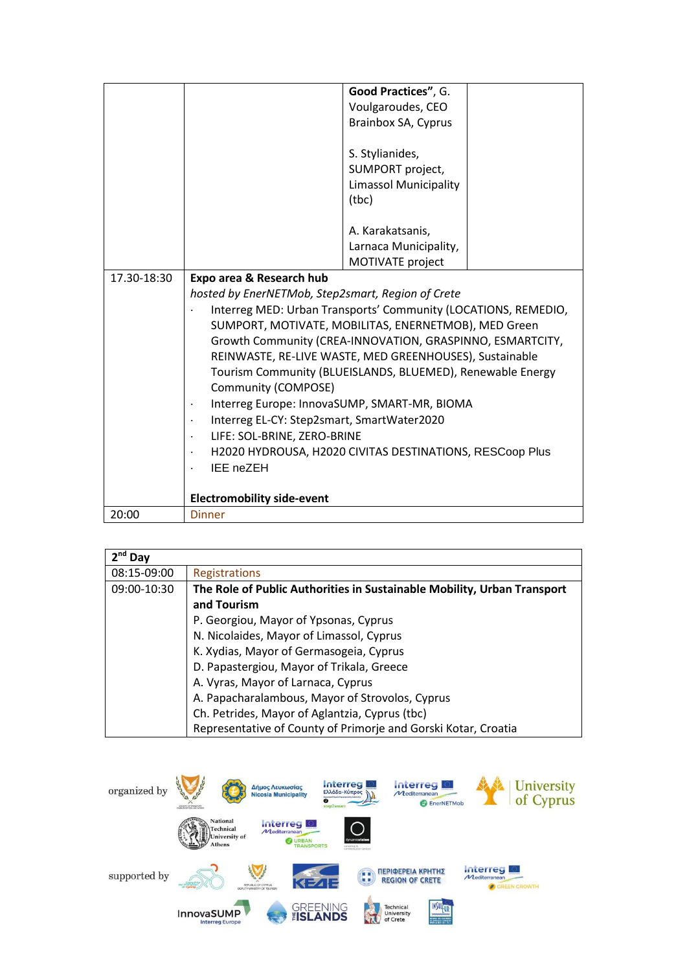|             |                                                                | Good Practices", G.          |  |
|-------------|----------------------------------------------------------------|------------------------------|--|
|             |                                                                | Voulgaroudes, CEO            |  |
|             |                                                                | Brainbox SA, Cyprus          |  |
|             |                                                                |                              |  |
|             |                                                                | S. Stylianides,              |  |
|             |                                                                | SUMPORT project,             |  |
|             |                                                                | <b>Limassol Municipality</b> |  |
|             |                                                                | (tbc)                        |  |
|             |                                                                |                              |  |
|             |                                                                | A. Karakatsanis,             |  |
|             |                                                                | Larnaca Municipality,        |  |
|             |                                                                | MOTIVATE project             |  |
| 17.30-18:30 | Expo area & Research hub                                       |                              |  |
|             | hosted by EnerNETMob, Step2smart, Region of Crete              |                              |  |
|             | Interreg MED: Urban Transports' Community (LOCATIONS, REMEDIO, |                              |  |
|             | SUMPORT, MOTIVATE, MOBILITAS, ENERNETMOB), MED Green           |                              |  |
|             | Growth Community (CREA-INNOVATION, GRASPINNO, ESMARTCITY,      |                              |  |
|             | REINWASTE, RE-LIVE WASTE, MED GREENHOUSES), Sustainable        |                              |  |
|             | Tourism Community (BLUEISLANDS, BLUEMED), Renewable Energy     |                              |  |
|             | Community (COMPOSE)                                            |                              |  |
|             | Interreg Europe: InnovaSUMP, SMART-MR, BIOMA                   |                              |  |
|             | Interreg EL-CY: Step2smart, SmartWater2020                     |                              |  |
|             | LIFE: SOL-BRINE, ZERO-BRINE                                    |                              |  |
|             | H2020 HYDROUSA, H2020 CIVITAS DESTINATIONS, RESCoop Plus       |                              |  |
|             | IEE neZEH                                                      |                              |  |
|             |                                                                |                              |  |
|             | <b>Electromobility side-event</b>                              |                              |  |
| 20:00       | <b>Dinner</b>                                                  |                              |  |

| $2nd$ Day   |                                                                         |  |
|-------------|-------------------------------------------------------------------------|--|
| 08:15-09:00 | <b>Registrations</b>                                                    |  |
| 09:00-10:30 | The Role of Public Authorities in Sustainable Mobility, Urban Transport |  |
|             | and Tourism                                                             |  |
|             | P. Georgiou, Mayor of Ypsonas, Cyprus                                   |  |
|             | N. Nicolaides, Mayor of Limassol, Cyprus                                |  |
|             | K. Xydias, Mayor of Germasogeia, Cyprus                                 |  |
|             | D. Papastergiou, Mayor of Trikala, Greece                               |  |
|             | A. Vyras, Mayor of Larnaca, Cyprus                                      |  |
|             | A. Papacharalambous, Mayor of Strovolos, Cyprus                         |  |
|             | Ch. Petrides, Mayor of Aglantzia, Cyprus (tbc)                          |  |
|             | Representative of County of Primorje and Gorski Kotar, Croatia          |  |

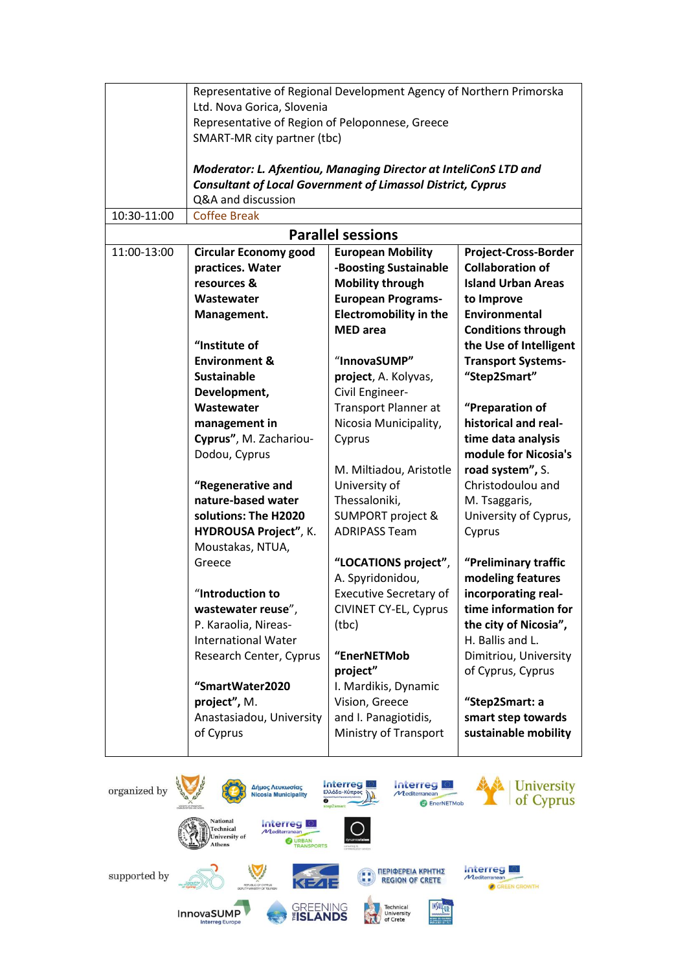|             | Representative of Regional Development Agency of Northern Primorska |                               |                           |
|-------------|---------------------------------------------------------------------|-------------------------------|---------------------------|
|             | Ltd. Nova Gorica, Slovenia                                          |                               |                           |
|             | Representative of Region of Peloponnese, Greece                     |                               |                           |
|             | SMART-MR city partner (tbc)                                         |                               |                           |
|             |                                                                     |                               |                           |
|             | Moderator: L. Afxentiou, Managing Director at InteliConS LTD and    |                               |                           |
|             | <b>Consultant of Local Government of Limassol District, Cyprus</b>  |                               |                           |
|             | Q&A and discussion                                                  |                               |                           |
| 10:30-11:00 | <b>Coffee Break</b>                                                 |                               |                           |
|             |                                                                     | <b>Parallel sessions</b>      |                           |
| 11:00-13:00 | <b>Circular Economy good</b>                                        | <b>European Mobility</b>      | Project-Cross-Border      |
|             | practices. Water                                                    | -Boosting Sustainable         | <b>Collaboration of</b>   |
|             | resources &                                                         | <b>Mobility through</b>       | <b>Island Urban Areas</b> |
|             | Wastewater                                                          | <b>European Programs-</b>     | to Improve                |
|             | Management.                                                         | <b>Electromobility in the</b> | <b>Environmental</b>      |
|             |                                                                     | <b>MED</b> area               | <b>Conditions through</b> |
|             | "Institute of                                                       |                               | the Use of Intelligent    |
|             | <b>Environment &amp;</b>                                            | "InnovaSUMP"                  | <b>Transport Systems-</b> |
|             | <b>Sustainable</b>                                                  | project, A. Kolyvas,          | "Step2Smart"              |
|             | Development,                                                        | Civil Engineer-               |                           |
|             | Wastewater                                                          | <b>Transport Planner at</b>   | "Preparation of           |
|             | management in                                                       | Nicosia Municipality,         | historical and real-      |
|             | Cyprus", M. Zachariou-                                              | Cyprus                        | time data analysis        |
|             | Dodou, Cyprus                                                       |                               | module for Nicosia's      |
|             |                                                                     | M. Miltiadou, Aristotle       | road system", S.          |
|             | "Regenerative and                                                   | University of                 | Christodoulou and         |
|             | nature-based water                                                  | Thessaloniki,                 | M. Tsaggaris,             |
|             | solutions: The H2020                                                | <b>SUMPORT project &amp;</b>  | University of Cyprus,     |
|             | HYDROUSA Project", K.                                               | <b>ADRIPASS Team</b>          | Cyprus                    |
|             | Moustakas, NTUA,                                                    |                               |                           |
|             | Greece                                                              | "LOCATIONS project",          | "Preliminary traffic      |
|             |                                                                     | A. Spyridonidou,              | modeling features         |
|             | "Introduction to                                                    | Executive Secretary of        | incorporating real-       |
|             | wastewater reuse",                                                  | CIVINET CY-EL, Cyprus         | time information for      |
|             | P. Karaolia, Nireas-                                                | (tbc)                         | the city of Nicosia",     |
|             | <b>International Water</b>                                          |                               | H. Ballis and L.          |
|             | Research Center, Cyprus                                             | "EnerNETMob                   | Dimitriou, University     |
|             |                                                                     | project"                      | of Cyprus, Cyprus         |
|             | "SmartWater2020                                                     | I. Mardikis, Dynamic          |                           |
|             | project", M.                                                        | Vision, Greece                | "Step2Smart: a            |
|             | Anastasiadou, University                                            | and I. Panagiotidis,          | smart step towards        |
|             | of Cyprus                                                           | Ministry of Transport         | sustainable mobility      |
|             |                                                                     |                               |                           |

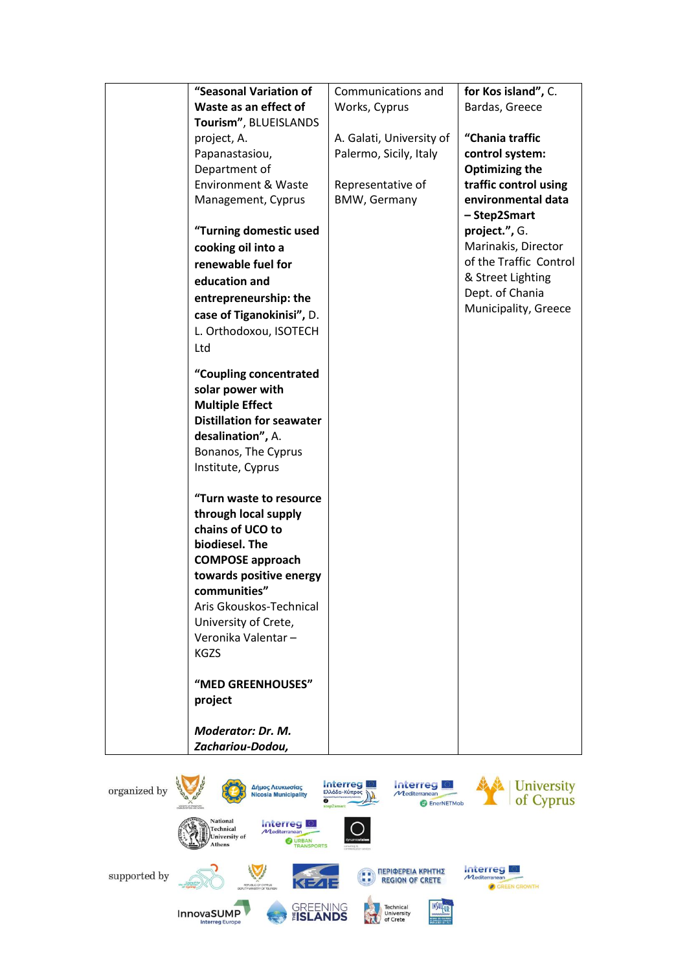| "Seasonal Variation of                          | Communications and       | for Kos island", C.    |
|-------------------------------------------------|--------------------------|------------------------|
| Waste as an effect of                           | Works, Cyprus            | Bardas, Greece         |
| Tourism", BLUEISLANDS                           |                          |                        |
| project, A.                                     | A. Galati, University of | "Chania traffic        |
| Papanastasiou,                                  | Palermo, Sicily, Italy   | control system:        |
| Department of                                   |                          | <b>Optimizing the</b>  |
| <b>Environment &amp; Waste</b>                  | Representative of        | traffic control using  |
| Management, Cyprus                              | <b>BMW, Germany</b>      | environmental data     |
|                                                 |                          | - Step2Smart           |
| "Turning domestic used                          |                          | project.", G.          |
| cooking oil into a                              |                          | Marinakis, Director    |
| renewable fuel for                              |                          | of the Traffic Control |
| education and                                   |                          | & Street Lighting      |
| entrepreneurship: the                           |                          | Dept. of Chania        |
| case of Tiganokinisi", D.                       |                          | Municipality, Greece   |
| L. Orthodoxou, ISOTECH                          |                          |                        |
| Ltd                                             |                          |                        |
|                                                 |                          |                        |
| "Coupling concentrated                          |                          |                        |
| solar power with                                |                          |                        |
| <b>Multiple Effect</b>                          |                          |                        |
| <b>Distillation for seawater</b>                |                          |                        |
| desalination", A.                               |                          |                        |
| Bonanos, The Cyprus                             |                          |                        |
| Institute, Cyprus                               |                          |                        |
|                                                 |                          |                        |
| "Turn waste to resource<br>through local supply |                          |                        |
| chains of UCO to                                |                          |                        |
| biodiesel. The                                  |                          |                        |
| <b>COMPOSE approach</b>                         |                          |                        |
| towards positive energy                         |                          |                        |
| communities"                                    |                          |                        |
| Aris Gkouskos-Technical                         |                          |                        |
| University of Crete,                            |                          |                        |
| Veronika Valentar-                              |                          |                        |
| <b>KGZS</b>                                     |                          |                        |
|                                                 |                          |                        |
| "MED GREENHOUSES"                               |                          |                        |
| project                                         |                          |                        |
|                                                 |                          |                        |
| <b>Moderator: Dr. M.</b>                        |                          |                        |
| Zachariou-Dodou,                                |                          |                        |